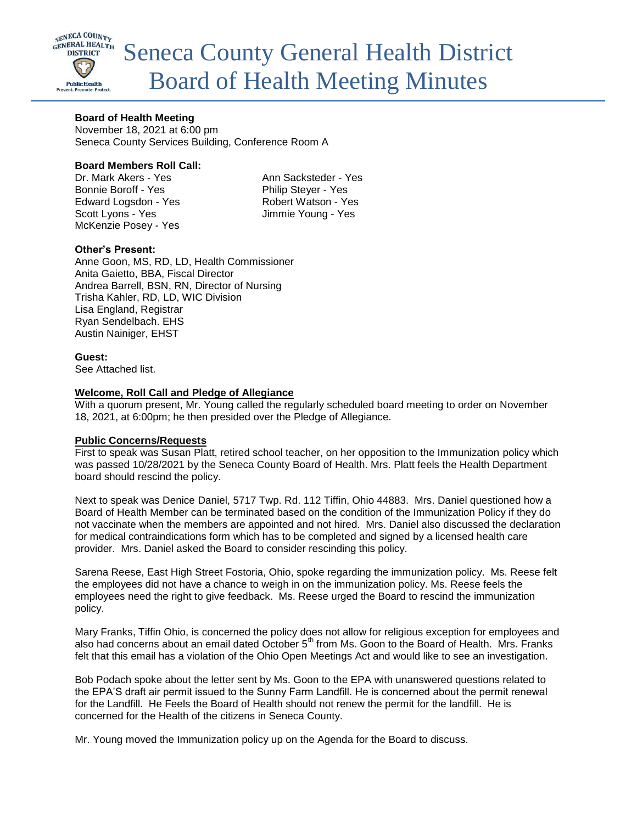

## **Board of Health Meeting**

November 18, 2021 at 6:00 pm Seneca County Services Building, Conference Room A

## **Board Members Roll Call:**

Dr. Mark Akers - Yes Ann Sacksteder - Yes Bonnie Boroff - Yes Philip Stever - Yes Edward Logsdon - Yes Robert Watson - Yes Scott Lyons - Yes Jimmie Young - Yes McKenzie Posey - Yes

# **Other's Present:**

Anne Goon, MS, RD, LD, Health Commissioner Anita Gaietto, BBA, Fiscal Director Andrea Barrell, BSN, RN, Director of Nursing Trisha Kahler, RD, LD, WIC Division Lisa England, Registrar Ryan Sendelbach. EHS Austin Nainiger, EHST

**Guest:**

See Attached list.

## **Welcome, Roll Call and Pledge of Allegiance**

With a quorum present, Mr. Young called the regularly scheduled board meeting to order on November 18, 2021, at 6:00pm; he then presided over the Pledge of Allegiance.

## **Public Concerns/Requests**

First to speak was Susan Platt, retired school teacher, on her opposition to the Immunization policy which was passed 10/28/2021 by the Seneca County Board of Health. Mrs. Platt feels the Health Department board should rescind the policy.

Next to speak was Denice Daniel, 5717 Twp. Rd. 112 Tiffin, Ohio 44883. Mrs. Daniel questioned how a Board of Health Member can be terminated based on the condition of the Immunization Policy if they do not vaccinate when the members are appointed and not hired. Mrs. Daniel also discussed the declaration for medical contraindications form which has to be completed and signed by a licensed health care provider. Mrs. Daniel asked the Board to consider rescinding this policy.

Sarena Reese, East High Street Fostoria, Ohio, spoke regarding the immunization policy. Ms. Reese felt the employees did not have a chance to weigh in on the immunization policy. Ms. Reese feels the employees need the right to give feedback. Ms. Reese urged the Board to rescind the immunization policy.

Mary Franks, Tiffin Ohio, is concerned the policy does not allow for religious exception for employees and also had concerns about an email dated October 5<sup>th</sup> from Ms. Goon to the Board of Health. Mrs. Franks felt that this email has a violation of the Ohio Open Meetings Act and would like to see an investigation.

Bob Podach spoke about the letter sent by Ms. Goon to the EPA with unanswered questions related to the EPA'S draft air permit issued to the Sunny Farm Landfill. He is concerned about the permit renewal for the Landfill. He Feels the Board of Health should not renew the permit for the landfill. He is concerned for the Health of the citizens in Seneca County.

Mr. Young moved the Immunization policy up on the Agenda for the Board to discuss.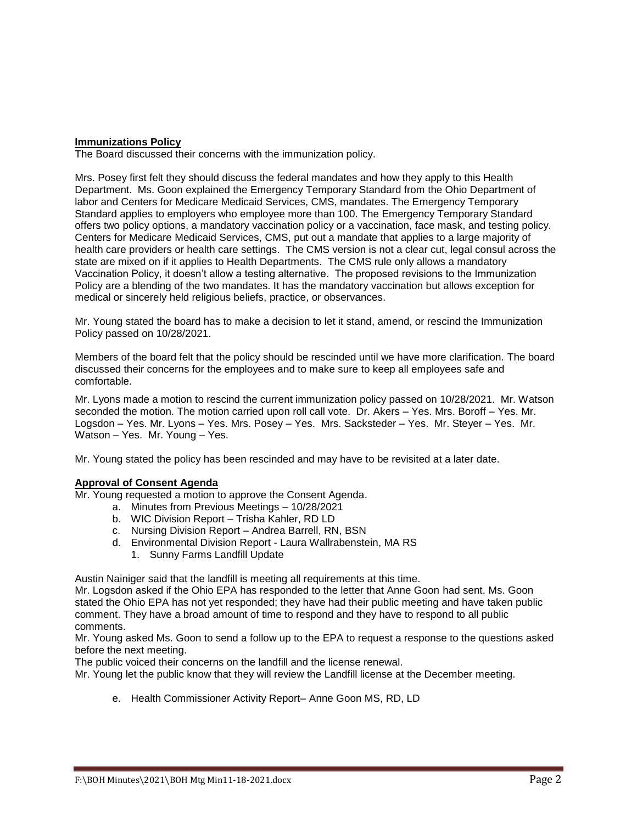# **Immunizations Policy**

The Board discussed their concerns with the immunization policy.

Mrs. Posey first felt they should discuss the federal mandates and how they apply to this Health Department. Ms. Goon explained the Emergency Temporary Standard from the Ohio Department of labor and Centers for Medicare Medicaid Services, CMS, mandates. The Emergency Temporary Standard applies to employers who employee more than 100. The Emergency Temporary Standard offers two policy options, a mandatory vaccination policy or a vaccination, face mask, and testing policy. Centers for Medicare Medicaid Services, CMS, put out a mandate that applies to a large majority of health care providers or health care settings. The CMS version is not a clear cut, legal consul across the state are mixed on if it applies to Health Departments. The CMS rule only allows a mandatory Vaccination Policy, it doesn't allow a testing alternative. The proposed revisions to the Immunization Policy are a blending of the two mandates. It has the mandatory vaccination but allows exception for medical or sincerely held religious beliefs, practice, or observances.

Mr. Young stated the board has to make a decision to let it stand, amend, or rescind the Immunization Policy passed on 10/28/2021.

Members of the board felt that the policy should be rescinded until we have more clarification. The board discussed their concerns for the employees and to make sure to keep all employees safe and comfortable.

Mr. Lyons made a motion to rescind the current immunization policy passed on 10/28/2021. Mr. Watson seconded the motion. The motion carried upon roll call vote. Dr. Akers – Yes. Mrs. Boroff – Yes. Mr. Logsdon – Yes. Mr. Lyons – Yes. Mrs. Posey – Yes. Mrs. Sacksteder – Yes. Mr. Steyer – Yes. Mr. Watson – Yes. Mr. Young – Yes.

Mr. Young stated the policy has been rescinded and may have to be revisited at a later date.

## **Approval of Consent Agenda**

Mr. Young requested a motion to approve the Consent Agenda.

- a. Minutes from Previous Meetings 10/28/2021
- b. WIC Division Report Trisha Kahler, RD LD
- c. Nursing Division Report Andrea Barrell, RN, BSN
- d. Environmental Division Report Laura Wallrabenstein, MA RS
	- 1. Sunny Farms Landfill Update

Austin Nainiger said that the landfill is meeting all requirements at this time.

Mr. Logsdon asked if the Ohio EPA has responded to the letter that Anne Goon had sent. Ms. Goon stated the Ohio EPA has not yet responded; they have had their public meeting and have taken public comment. They have a broad amount of time to respond and they have to respond to all public comments.

Mr. Young asked Ms. Goon to send a follow up to the EPA to request a response to the questions asked before the next meeting.

The public voiced their concerns on the landfill and the license renewal.

Mr. Young let the public know that they will review the Landfill license at the December meeting.

e. Health Commissioner Activity Report– Anne Goon MS, RD, LD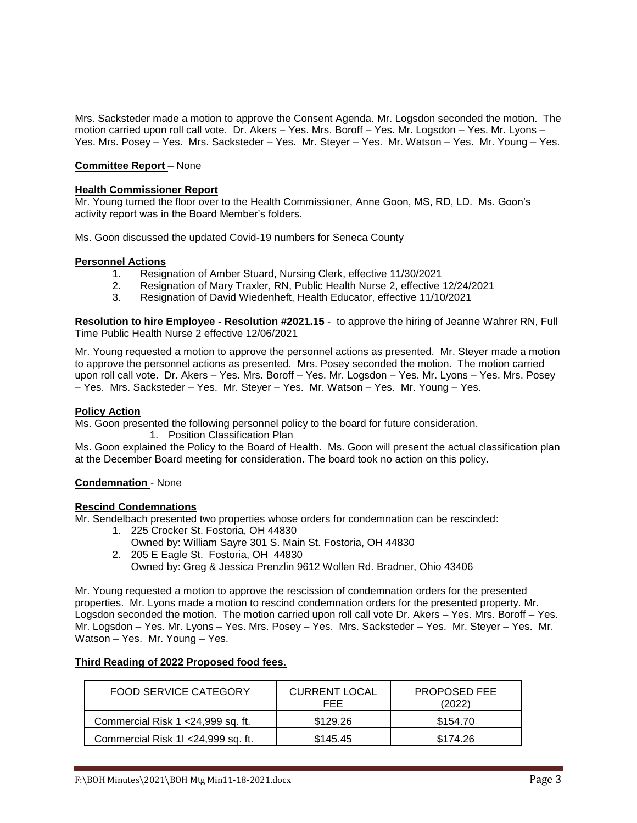Mrs. Sacksteder made a motion to approve the Consent Agenda. Mr. Logsdon seconded the motion. The motion carried upon roll call vote. Dr. Akers – Yes. Mrs. Boroff – Yes. Mr. Logsdon – Yes. Mr. Lyons – Yes. Mrs. Posey – Yes. Mrs. Sacksteder – Yes. Mr. Steyer – Yes. Mr. Watson – Yes. Mr. Young – Yes.

# **Committee Report** – None

## **Health Commissioner Report**

Mr. Young turned the floor over to the Health Commissioner, Anne Goon, MS, RD, LD. Ms. Goon's activity report was in the Board Member's folders.

Ms. Goon discussed the updated Covid-19 numbers for Seneca County

#### **Personnel Actions**

- 1. Resignation of Amber Stuard, Nursing Clerk, effective 11/30/2021
- 2. Resignation of Mary Traxler, RN, Public Health Nurse 2, effective 12/24/2021
- 3. Resignation of David Wiedenheft, Health Educator, effective 11/10/2021

**Resolution to hire Employee - Resolution #2021.15** - to approve the hiring of Jeanne Wahrer RN, Full Time Public Health Nurse 2 effective 12/06/2021

Mr. Young requested a motion to approve the personnel actions as presented. Mr. Steyer made a motion to approve the personnel actions as presented. Mrs. Posey seconded the motion. The motion carried upon roll call vote. Dr. Akers – Yes. Mrs. Boroff – Yes. Mr. Logsdon – Yes. Mr. Lyons – Yes. Mrs. Posey – Yes. Mrs. Sacksteder – Yes. Mr. Steyer – Yes. Mr. Watson – Yes. Mr. Young – Yes.

### **Policy Action**

Ms. Goon presented the following personnel policy to the board for future consideration.

1. Position Classification Plan

Ms. Goon explained the Policy to the Board of Health. Ms. Goon will present the actual classification plan at the December Board meeting for consideration. The board took no action on this policy.

#### **Condemnation** - None

#### **Rescind Condemnations**

Mr. Sendelbach presented two properties whose orders for condemnation can be rescinded:

- 1. 225 Crocker St. Fostoria, OH 44830
- Owned by: William Sayre 301 S. Main St. Fostoria, OH 44830 2. 205 E Eagle St. Fostoria, OH 44830
	- Owned by: Greg & Jessica Prenzlin 9612 Wollen Rd. Bradner, Ohio 43406

Mr. Young requested a motion to approve the rescission of condemnation orders for the presented properties. Mr. Lyons made a motion to rescind condemnation orders for the presented property. Mr. Logsdon seconded the motion. The motion carried upon roll call vote Dr. Akers – Yes. Mrs. Boroff – Yes. Mr. Logsdon – Yes. Mr. Lyons – Yes. Mrs. Posey – Yes. Mrs. Sacksteder – Yes. Mr. Steyer – Yes. Mr. Watson – Yes. Mr. Young – Yes.

# **Third Reading of 2022 Proposed food fees.**

| FOOD SERVICE CATEGORY               | <b>CURRENT LOCAL</b><br>FEE | <b>PROPOSED FEE</b> |
|-------------------------------------|-----------------------------|---------------------|
| Commercial Risk 1 < 24,999 sq. ft.  | \$129.26                    | \$154.70            |
| Commercial Risk 11 < 24,999 sq. ft. | \$145.45                    | \$174.26            |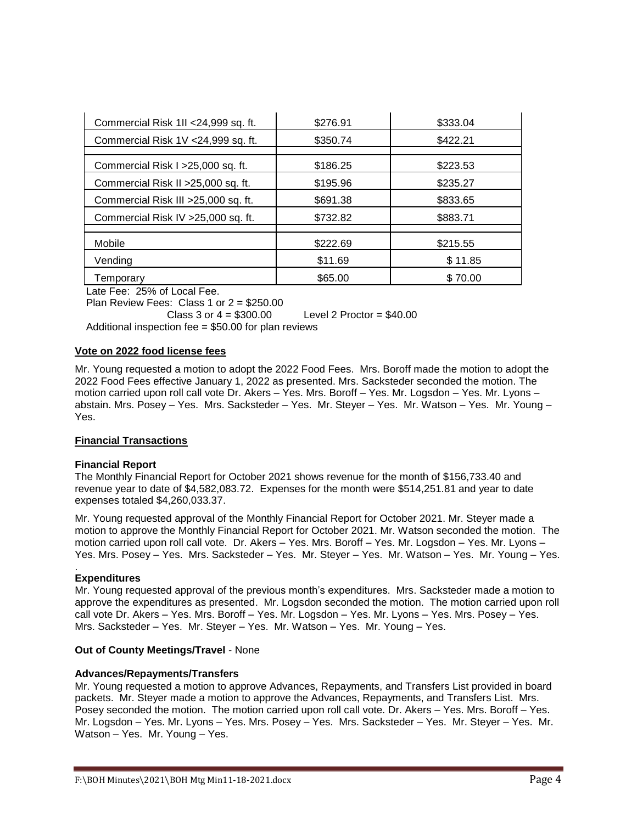| Commercial Risk 1II <24,999 sq. ft.  | \$276.91 | \$333.04 |
|--------------------------------------|----------|----------|
| Commercial Risk 1V <24,999 sq. ft.   | \$350.74 | \$422.21 |
|                                      |          |          |
| Commercial Risk I > 25,000 sq. ft.   | \$186.25 | \$223.53 |
| Commercial Risk II > 25,000 sq. ft.  | \$195.96 | \$235.27 |
| Commercial Risk III > 25,000 sq. ft. | \$691.38 | \$833.65 |
| Commercial Risk IV > 25,000 sq. ft.  | \$732.82 | \$883.71 |
|                                      |          |          |
| Mobile                               | \$222.69 | \$215.55 |
| Vending                              | \$11.69  | \$11.85  |
| Temporary                            | \$65.00  | \$70.00  |

Late Fee: 25% of Local Fee.

Plan Review Fees: Class 1 or 2 = \$250.00

Class 3 or  $4 = $300.00$  Level 2 Proctor =  $$40.00$ 

Additional inspection fee = \$50.00 for plan reviews

## **Vote on 2022 food license fees**

Mr. Young requested a motion to adopt the 2022 Food Fees. Mrs. Boroff made the motion to adopt the 2022 Food Fees effective January 1, 2022 as presented. Mrs. Sacksteder seconded the motion. The motion carried upon roll call vote Dr. Akers – Yes. Mrs. Boroff – Yes. Mr. Logsdon – Yes. Mr. Lyons – abstain. Mrs. Posey – Yes. Mrs. Sacksteder – Yes. Mr. Steyer – Yes. Mr. Watson – Yes. Mr. Young – Yes.

## **Financial Transactions**

## **Financial Report**

The Monthly Financial Report for October 2021 shows revenue for the month of \$156,733.40 and revenue year to date of \$4,582,083.72. Expenses for the month were \$514,251.81 and year to date expenses totaled \$4,260,033.37.

Mr. Young requested approval of the Monthly Financial Report for October 2021. Mr. Steyer made a motion to approve the Monthly Financial Report for October 2021. Mr. Watson seconded the motion. The motion carried upon roll call vote. Dr. Akers – Yes. Mrs. Boroff – Yes. Mr. Logsdon – Yes. Mr. Lyons – Yes. Mrs. Posey – Yes. Mrs. Sacksteder – Yes. Mr. Steyer – Yes. Mr. Watson – Yes. Mr. Young – Yes.

#### . **Expenditures**

Mr. Young requested approval of the previous month's expenditures. Mrs. Sacksteder made a motion to approve the expenditures as presented. Mr. Logsdon seconded the motion. The motion carried upon roll call vote Dr. Akers – Yes. Mrs. Boroff – Yes. Mr. Logsdon – Yes. Mr. Lyons – Yes. Mrs. Posey – Yes. Mrs. Sacksteder – Yes. Mr. Steyer – Yes. Mr. Watson – Yes. Mr. Young – Yes.

## **Out of County Meetings/Travel** - None

## **Advances/Repayments/Transfers**

Mr. Young requested a motion to approve Advances, Repayments, and Transfers List provided in board packets. Mr. Steyer made a motion to approve the Advances, Repayments, and Transfers List. Mrs. Posey seconded the motion. The motion carried upon roll call vote. Dr. Akers – Yes. Mrs. Boroff – Yes. Mr. Logsdon – Yes. Mr. Lyons – Yes. Mrs. Posey – Yes. Mrs. Sacksteder – Yes. Mr. Steyer – Yes. Mr. Watson – Yes. Mr. Young – Yes.